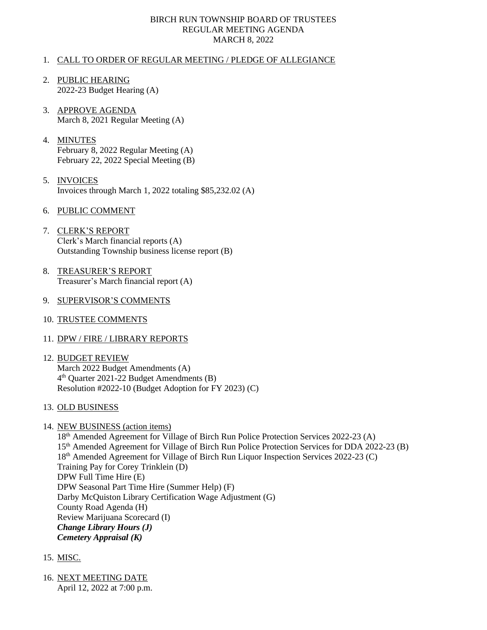## BIRCH RUN TOWNSHIP BOARD OF TRUSTEES REGULAR MEETING AGENDA MARCH 8, 2022

## 1. CALL TO ORDER OF REGULAR MEETING / PLEDGE OF ALLEGIANCE

- 2. PUBLIC HEARING 2022-23 Budget Hearing (A)
- 3. APPROVE AGENDA March 8, 2021 Regular Meeting (A)
- 4. MINUTES February 8, 2022 Regular Meeting (A) February 22, 2022 Special Meeting (B)
- 5. INVOICES Invoices through March 1, 2022 totaling \$85,232.02 (A)
- 6. PUBLIC COMMENT
- 7. CLERK'S REPORT Clerk's March financial reports (A) Outstanding Township business license report (B)
- 8. TREASURER'S REPORT Treasurer's March financial report (A)
- 9. SUPERVISOR'S COMMENTS
- 10. TRUSTEE COMMENTS
- 11. DPW / FIRE / LIBRARY REPORTS
- 12. BUDGET REVIEW March 2022 Budget Amendments (A) 4 th Quarter 2021-22 Budget Amendments (B) Resolution #2022-10 (Budget Adoption for FY 2023) (C)
- 13. OLD BUSINESS
- 14. NEW BUSINESS (action items)

18<sup>th</sup> Amended Agreement for Village of Birch Run Police Protection Services 2022-23 (A) 15th Amended Agreement for Village of Birch Run Police Protection Services for DDA 2022-23 (B) 18th Amended Agreement for Village of Birch Run Liquor Inspection Services 2022-23 (C) Training Pay for Corey Trinklein (D) DPW Full Time Hire (E) DPW Seasonal Part Time Hire (Summer Help) (F) Darby McQuiston Library Certification Wage Adjustment (G) County Road Agenda (H) Review Marijuana Scorecard (I) *Change Library Hours (J) Cemetery Appraisal (K)*

- 15. MISC.
- 16. NEXT MEETING DATE April 12, 2022 at 7:00 p.m.